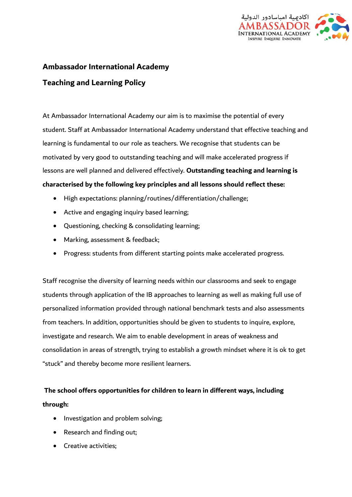

# **Ambassador International Academy**

### **Teaching and Learning Policy**

At Ambassador International Academy our aim is to maximise the potential of every student. Staff at Ambassador International Academy understand that effective teaching and learning is fundamental to our role as teachers. We recognise that students can be motivated by very good to outstanding teaching and will make accelerated progress if lessons are well planned and delivered effectively. **Outstanding teaching and learning is characterised by the following key principles and all lessons should reflect these:** 

- High expectations: planning/routines/differentiation/challenge;
- Active and engaging inquiry based learning;
- Questioning, checking & consolidating learning;
- Marking, assessment & feedback;
- Progress: students from different starting points make accelerated progress.

Staff recognise the diversity of learning needs within our classrooms and seek to engage students through application of the IB approaches to learning as well as making full use of personalized information provided through national benchmark tests and also assessments from teachers. In addition, opportunities should be given to students to inquire, explore, investigate and research. We aim to enable development in areas of weakness and consolidation in areas of strength, trying to establish a growth mindset where it is ok to get "stuck" and thereby become more resilient learners.

## **The school offers opportunities for children to learn in different ways, including through:**

- Investigation and problem solving;
- Research and finding out;
- Creative activities;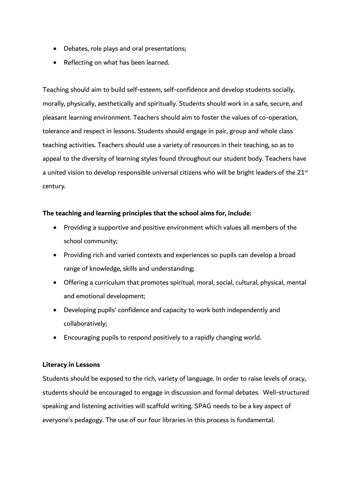- Debates, role plays and oral presentations;
- Reflecting on what has been learned.

Teaching should aim to build self-esteem, self-confidence and develop students socially, morally, physically, aesthetically and spiritually. Students should work in a safe, secure, and pleasant learning environment. Teachers should aim to foster the values of co-operation, tolerance and respect in lessons. Students should engage in pair, group and whole class teaching activities. Teachers should use a variety of resources in their teaching, so as to appeal to the diversity of learning styles found throughout our student body. Teachers have a united vision to develop responsible universal citizens who will be bright leaders of the  $21^{st}$ century.

#### **The teaching and learning principles that the school aims for, include:**

- Providing a supportive and positive environment which values all members of the school community;
- Providing rich and varied contexts and experiences so pupils can develop a broad range of knowledge, skills and understanding;
- Offering a curriculum that promotes spiritual, moral, social, cultural, physical, mental and emotional development;
- Developing pupils' confidence and capacity to work both independently and collaboratively;
- Encouraging pupils to respond positively to a rapidly changing world.

#### **Literacy in Lessons**

Students should be exposed to the rich, variety of language. In order to raise levels of oracy, students should be encouraged to engage in discussion and formal debates. Well-structured speaking and listening activities will scaffold writing. SPAG needs to be a key aspect of everyone's pedagogy. The use of our four libraries in this process is fundamental.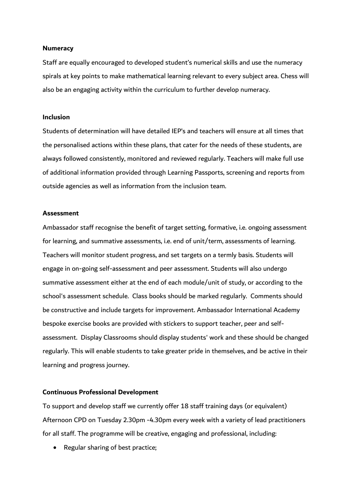#### **Numeracy**

Staff are equally encouraged to developed student's numerical skills and use the numeracy spirals at key points to make mathematical learning relevant to every subject area. Chess will also be an engaging activity within the curriculum to further develop numeracy.

#### **Inclusion**

Students of determination will have detailed IEP's and teachers will ensure at all times that the personalised actions within these plans, that cater for the needs of these students, are always followed consistently, monitored and reviewed regularly. Teachers will make full use of additional information provided through Learning Passports, screening and reports from outside agencies as well as information from the inclusion team.

#### **Assessment**

Ambassador staff recognise the benefit of target setting, formative, i.e. ongoing assessment for learning, and summative assessments, i.e. end of unit/term, assessments of learning. Teachers will monitor student progress, and set targets on a termly basis. Students will engage in on-going self-assessment and peer assessment. Students will also undergo summative assessment either at the end of each module/unit of study, or according to the school's assessment schedule. Class books should be marked regularly. Comments should be constructive and include targets for improvement. Ambassador International Academy bespoke exercise books are provided with stickers to support teacher, peer and selfassessment. Display Classrooms should display students' work and these should be changed regularly. This will enable students to take greater pride in themselves, and be active in their learning and progress journey.

#### **Continuous Professional Development**

To support and develop staff we currently offer 18 staff training days (or equivalent) Afternoon CPD on Tuesday 2.30pm -4.30pm every week with a variety of lead practitioners for all staff. The programme will be creative, engaging and professional, including:

• Regular sharing of best practice;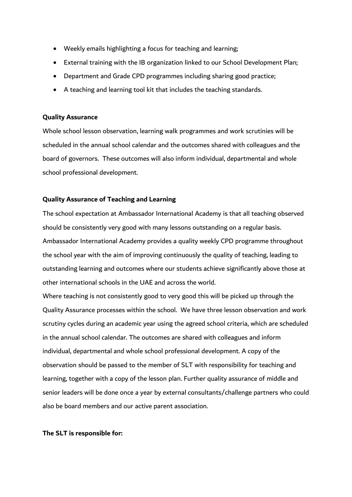- Weekly emails highlighting a focus for teaching and learning;
- External training with the IB organization linked to our School Development Plan;
- Department and Grade CPD programmes including sharing good practice;
- A teaching and learning tool kit that includes the teaching standards.

#### **Quality Assurance**

Whole school lesson observation, learning walk programmes and work scrutinies will be scheduled in the annual school calendar and the outcomes shared with colleagues and the board of governors. These outcomes will also inform individual, departmental and whole school professional development.

#### **Quality Assurance of Teaching and Learning**

The school expectation at Ambassador International Academy is that all teaching observed should be consistently very good with many lessons outstanding on a regular basis. Ambassador International Academy provides a quality weekly CPD programme throughout the school year with the aim of improving continuously the quality of teaching, leading to outstanding learning and outcomes where our students achieve significantly above those at other international schools in the UAE and across the world.

Where teaching is not consistently good to very good this will be picked up through the Quality Assurance processes within the school. We have three lesson observation and work scrutiny cycles during an academic year using the agreed school criteria, which are scheduled in the annual school calendar. The outcomes are shared with colleagues and inform individual, departmental and whole school professional development. A copy of the observation should be passed to the member of SLT with responsibility for teaching and learning, together with a copy of the lesson plan. Further quality assurance of middle and senior leaders will be done once a year by external consultants/challenge partners who could also be board members and our active parent association.

#### **The SLT is responsible for:**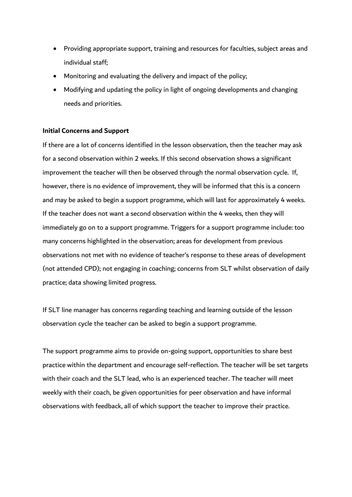- Providing appropriate support, training and resources for faculties, subject areas and individual staff;
- Monitoring and evaluating the delivery and impact of the policy;
- Modifying and updating the policy in light of ongoing developments and changing needs and priorities.

#### **Initial Concerns and Support**

If there are a lot of concerns identified in the lesson observation, then the teacher may ask for a second observation within 2 weeks. If this second observation shows a significant improvement the teacher will then be observed through the normal observation cycle. If, however, there is no evidence of improvement, they will be informed that this is a concern and may be asked to begin a support programme, which will last for approximately 4 weeks. If the teacher does not want a second observation within the 4 weeks, then they will immediately go on to a support programme. Triggers for a support programme include: too many concerns highlighted in the observation; areas for development from previous observations not met with no evidence of teacher's response to these areas of development (not attended CPD); not engaging in coaching; concerns from SLT whilst observation of daily practice; data showing limited progress.

If SLT line manager has concerns regarding teaching and learning outside of the lesson observation cycle the teacher can be asked to begin a support programme.

The support programme aims to provide on-going support, opportunities to share best practice within the department and encourage self-reflection. The teacher will be set targets with their coach and the SLT lead, who is an experienced teacher. The teacher will meet weekly with their coach, be given opportunities for peer observation and have informal observations with feedback, all of which support the teacher to improve their practice.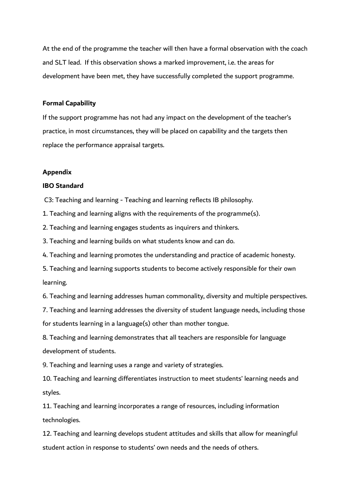At the end of the programme the teacher will then have a formal observation with the coach and SLT lead. If this observation shows a marked improvement, i.e. the areas for development have been met, they have successfully completed the support programme.

#### **Formal Capability**

If the support programme has not had any impact on the development of the teacher's practice, in most circumstances, they will be placed on capability and the targets then replace the performance appraisal targets.

#### **Appendix**

#### **IBO Standard**

C3: Teaching and learning - Teaching and learning reflects IB philosophy.

1. Teaching and learning aligns with the requirements of the programme(s).

2. Teaching and learning engages students as inquirers and thinkers.

3. Teaching and learning builds on what students know and can do.

4. Teaching and learning promotes the understanding and practice of academic honesty.

5. Teaching and learning supports students to become actively responsible for their own learning.

6. Teaching and learning addresses human commonality, diversity and multiple perspectives.

7. Teaching and learning addresses the diversity of student language needs, including those for students learning in a language(s) other than mother tongue.

8. Teaching and learning demonstrates that all teachers are responsible for language development of students.

9. Teaching and learning uses a range and variety of strategies.

10. Teaching and learning differentiates instruction to meet students' learning needs and styles.

11. Teaching and learning incorporates a range of resources, including information technologies.

12. Teaching and learning develops student attitudes and skills that allow for meaningful student action in response to students' own needs and the needs of others.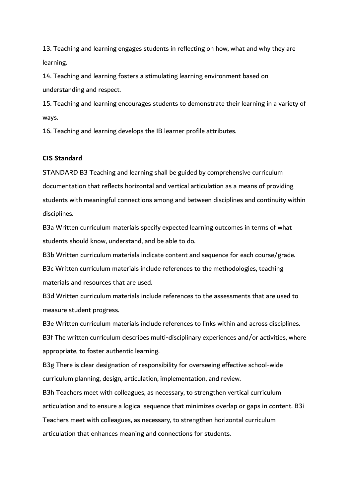13. Teaching and learning engages students in reflecting on how, what and why they are learning.

14. Teaching and learning fosters a stimulating learning environment based on understanding and respect.

15. Teaching and learning encourages students to demonstrate their learning in a variety of ways.

16. Teaching and learning develops the IB learner profile attributes.

#### **CIS Standard**

STANDARD B3 Teaching and learning shall be guided by comprehensive curriculum documentation that reflects horizontal and vertical articulation as a means of providing students with meaningful connections among and between disciplines and continuity within disciplines.

B3a Written curriculum materials specify expected learning outcomes in terms of what students should know, understand, and be able to do.

B3b Written curriculum materials indicate content and sequence for each course/grade.

B3c Written curriculum materials include references to the methodologies, teaching materials and resources that are used.

B3d Written curriculum materials include references to the assessments that are used to measure student progress.

B3e Written curriculum materials include references to links within and across disciplines.

B3f The written curriculum describes multi-disciplinary experiences and/or activities, where appropriate, to foster authentic learning.

B3g There is clear designation of responsibility for overseeing effective school-wide curriculum planning, design, articulation, implementation, and review.

B3h Teachers meet with colleagues, as necessary, to strengthen vertical curriculum articulation and to ensure a logical sequence that minimizes overlap or gaps in content. B3i Teachers meet with colleagues, as necessary, to strengthen horizontal curriculum articulation that enhances meaning and connections for students.